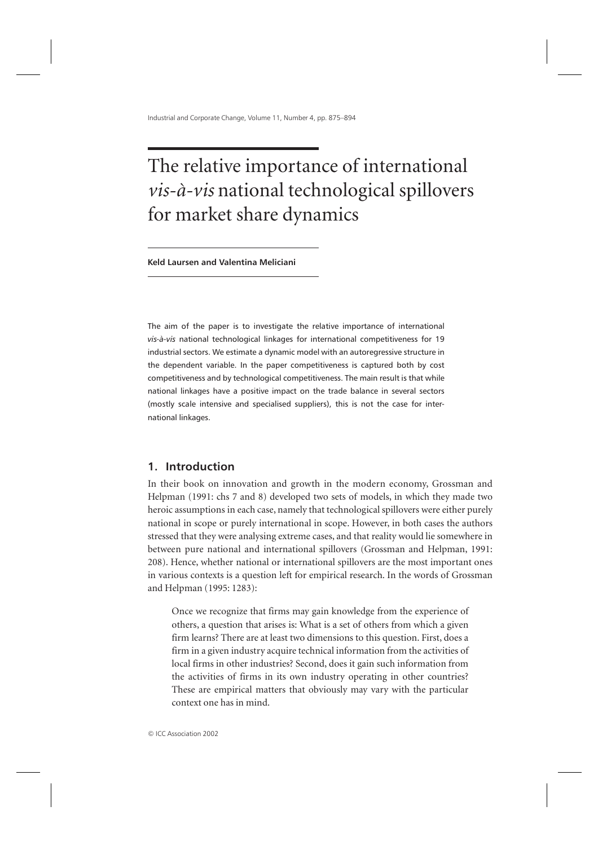# The relative importance of international *vis-à-vis* national technological spillovers for market share dynamics

**Keld Laursen and Valentina Meliciani**

The aim of the paper is to investigate the relative importance of international *vis-à-vis* national technological linkages for international competitiveness for 19 industrial sectors. We estimate a dynamic model with an autoregressive structure in the dependent variable. In the paper competitiveness is captured both by cost competitiveness and by technological competitiveness. The main result is that while national linkages have a positive impact on the trade balance in several sectors (mostly scale intensive and specialised suppliers), this is not the case for international linkages.

## **1. Introduction**

In their book on innovation and growth in the modern economy, Grossman and Helpman (1991: chs 7 and 8) developed two sets of models, in which they made two heroic assumptions in each case, namely that technological spillovers were either purely national in scope or purely international in scope. However, in both cases the authors stressed that they were analysing extreme cases, and that reality would lie somewhere in between pure national and international spillovers (Grossman and Helpman, 1991: 208). Hence, whether national or international spillovers are the most important ones in various contexts is a question left for empirical research. In the words of Grossman and Helpman (1995: 1283):

Once we recognize that firms may gain knowledge from the experience of others, a question that arises is: What is a set of others from which a given firm learns? There are at least two dimensions to this question. First, does a firm in a given industry acquire technical information from the activities of local firms in other industries? Second, does it gain such information from the activities of firms in its own industry operating in other countries? These are empirical matters that obviously may vary with the particular context one has in mind.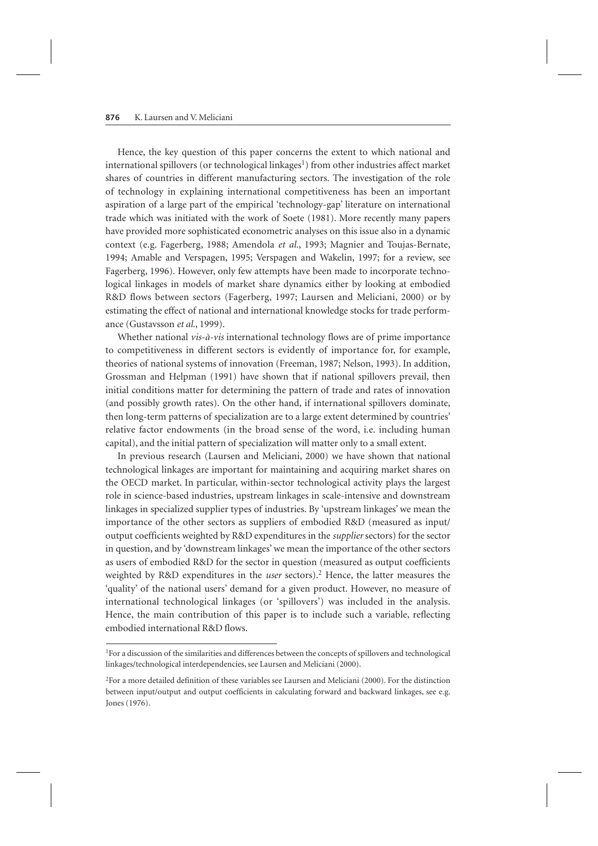Hence, the key question of this paper concerns the extent to which national and international spillovers (or technological linkages $^1$ ) from other industries affect market shares of countries in different manufacturing sectors. The investigation of the role of technology in explaining international competitiveness has been an important aspiration of a large part of the empirical 'technology-gap' literature on international trade which was initiated with the work of Soete (1981). More recently many papers have provided more sophisticated econometric analyses on this issue also in a dynamic context (e.g. Fagerberg, 1988; Amendola *et al.*, 1993; Magnier and Toujas-Bernate, 1994; Amable and Verspagen, 1995; Verspagen and Wakelin, 1997; for a review, see Fagerberg, 1996). However, only few attempts have been made to incorporate technological linkages in models of market share dynamics either by looking at embodied R&D flows between sectors (Fagerberg, 1997; Laursen and Meliciani, 2000) or by estimating the effect of national and international knowledge stocks for trade performance (Gustavsson *et al.*, 1999).

Whether national *vis-à-vis* international technology flows are of prime importance to competitiveness in different sectors is evidently of importance for, for example, theories of national systems of innovation (Freeman, 1987; Nelson, 1993). In addition, Grossman and Helpman (1991) have shown that if national spillovers prevail, then initial conditions matter for determining the pattern of trade and rates of innovation (and possibly growth rates). On the other hand, if international spillovers dominate, then long-term patterns of specialization are to a large extent determined by countries' relative factor endowments (in the broad sense of the word, i.e. including human capital), and the initial pattern of specialization will matter only to a small extent.

In previous research (Laursen and Meliciani, 2000) we have shown that national technological linkages are important for maintaining and acquiring market shares on the OECD market. In particular, within-sector technological activity plays the largest role in science-based industries, upstream linkages in scale-intensive and downstream linkages in specialized supplier types of industries. By 'upstream linkages' we mean the importance of the other sectors as suppliers of embodied R&D (measured as input/ output coefficients weighted by R&D expenditures in the *supplier* sectors) for the sector in question, and by 'downstream linkages' we mean the importance of the other sectors as users of embodied R&D for the sector in question (measured as output coefficients weighted by R&D expenditures in the *user* sectors).<sup>2</sup> Hence, the latter measures the 'quality' of the national users' demand for a given product. However, no measure of international technological linkages (or 'spillovers') was included in the analysis. Hence, the main contribution of this paper is to include such a variable, reflecting embodied international R&D flows.

<sup>&</sup>lt;sup>1</sup>For a discussion of the similarities and differences between the concepts of spillovers and technological linkages/technological interdependencies, see Laursen and Meliciani (2000).

<sup>2</sup>For a more detailed definition of these variables see Laursen and Meliciani (2000). For the distinction between input/output and output coefficients in calculating forward and backward linkages, see e.g. Jones (1976).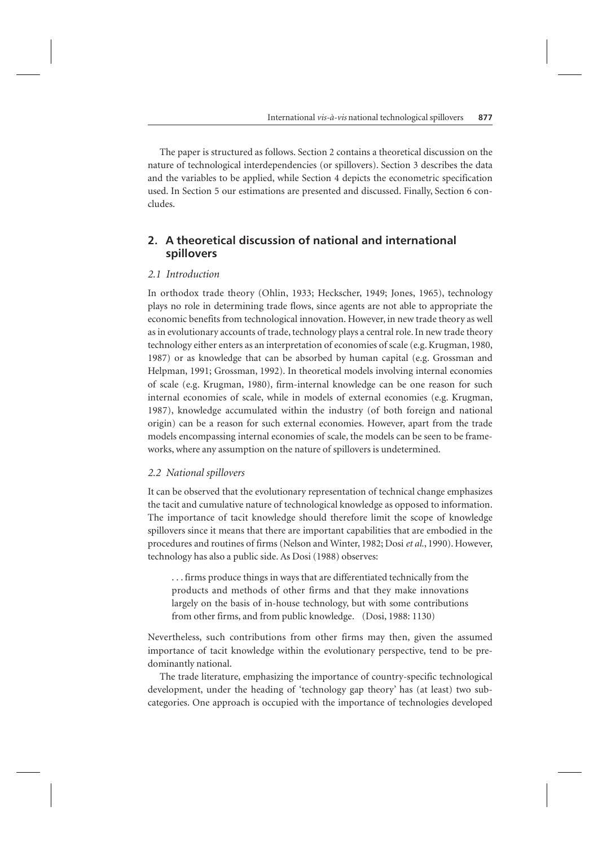The paper is structured as follows. Section 2 contains a theoretical discussion on the nature of technological interdependencies (or spillovers). Section 3 describes the data and the variables to be applied, while Section 4 depicts the econometric specification used. In Section 5 our estimations are presented and discussed. Finally, Section 6 concludes.

# **2. A theoretical discussion of national and international spillovers**

## *2.1 Introduction*

In orthodox trade theory (Ohlin, 1933; Heckscher, 1949; Jones, 1965), technology plays no role in determining trade flows, since agents are not able to appropriate the economic benefits from technological innovation. However, in new trade theory as well as in evolutionary accounts of trade, technology plays a central role. In new trade theory technology either enters as an interpretation of economies of scale (e.g. Krugman, 1980, 1987) or as knowledge that can be absorbed by human capital (e.g. Grossman and Helpman, 1991; Grossman, 1992). In theoretical models involving internal economies of scale (e.g. Krugman, 1980), firm-internal knowledge can be one reason for such internal economies of scale, while in models of external economies (e.g. Krugman, 1987), knowledge accumulated within the industry (of both foreign and national origin) can be a reason for such external economies. However, apart from the trade models encompassing internal economies of scale, the models can be seen to be frameworks, where any assumption on the nature of spillovers is undetermined.

## *2.2 National spillovers*

It can be observed that the evolutionary representation of technical change emphasizes the tacit and cumulative nature of technological knowledge as opposed to information. The importance of tacit knowledge should therefore limit the scope of knowledge spillovers since it means that there are important capabilities that are embodied in the procedures and routines of firms (Nelson and Winter, 1982; Dosi *et al.*, 1990). However, technology has also a public side. As Dosi (1988) observes:

. . . firms produce things in ways that are differentiated technically from the products and methods of other firms and that they make innovations largely on the basis of in-house technology, but with some contributions from other firms, and from public knowledge. (Dosi, 1988: 1130)

Nevertheless, such contributions from other firms may then, given the assumed importance of tacit knowledge within the evolutionary perspective, tend to be predominantly national.

The trade literature, emphasizing the importance of country-specific technological development, under the heading of 'technology gap theory' has (at least) two subcategories. One approach is occupied with the importance of technologies developed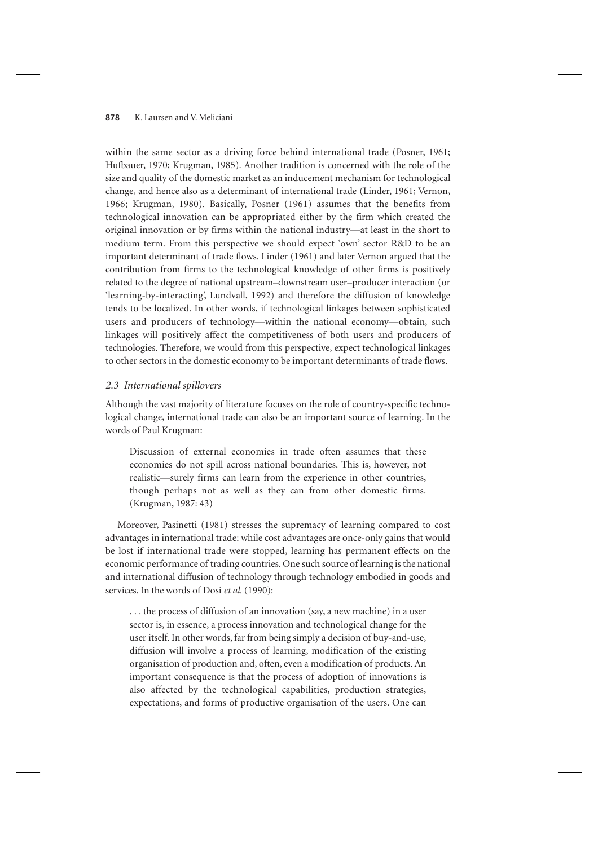within the same sector as a driving force behind international trade (Posner, 1961; Hufbauer, 1970; Krugman, 1985). Another tradition is concerned with the role of the size and quality of the domestic market as an inducement mechanism for technological change, and hence also as a determinant of international trade (Linder, 1961; Vernon, 1966; Krugman, 1980). Basically, Posner (1961) assumes that the benefits from technological innovation can be appropriated either by the firm which created the original innovation or by firms within the national industry—at least in the short to medium term. From this perspective we should expect 'own' sector R&D to be an important determinant of trade flows. Linder (1961) and later Vernon argued that the contribution from firms to the technological knowledge of other firms is positively related to the degree of national upstream–downstream user–producer interaction (or 'learning-by-interacting', Lundvall, 1992) and therefore the diffusion of knowledge tends to be localized. In other words, if technological linkages between sophisticated users and producers of technology—within the national economy—obtain, such linkages will positively affect the competitiveness of both users and producers of technologies. Therefore, we would from this perspective, expect technological linkages to other sectors in the domestic economy to be important determinants of trade flows.

## *2.3 International spillovers*

Although the vast majority of literature focuses on the role of country-specific technological change, international trade can also be an important source of learning. In the words of Paul Krugman:

Discussion of external economies in trade often assumes that these economies do not spill across national boundaries. This is, however, not realistic—surely firms can learn from the experience in other countries, though perhaps not as well as they can from other domestic firms. (Krugman, 1987: 43)

Moreover, Pasinetti (1981) stresses the supremacy of learning compared to cost advantages in international trade: while cost advantages are once-only gains that would be lost if international trade were stopped, learning has permanent effects on the economic performance of trading countries. One such source of learning is the national and international diffusion of technology through technology embodied in goods and services. In the words of Dosi *et al.* (1990):

. . . the process of diffusion of an innovation (say, a new machine) in a user sector is, in essence, a process innovation and technological change for the user itself. In other words, far from being simply a decision of buy-and-use, diffusion will involve a process of learning, modification of the existing organisation of production and, often, even a modification of products. An important consequence is that the process of adoption of innovations is also affected by the technological capabilities, production strategies, expectations, and forms of productive organisation of the users. One can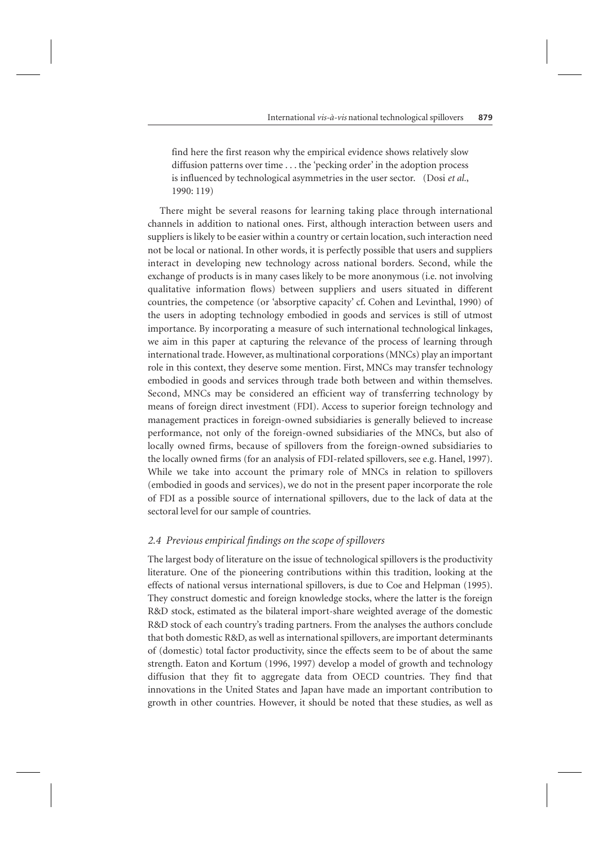find here the first reason why the empirical evidence shows relatively slow diffusion patterns over time . . . the 'pecking order' in the adoption process is influenced by technological asymmetries in the user sector. (Dosi *et al.*, 1990: 119)

There might be several reasons for learning taking place through international channels in addition to national ones. First, although interaction between users and suppliers is likely to be easier within a country or certain location, such interaction need not be local or national. In other words, it is perfectly possible that users and suppliers interact in developing new technology across national borders. Second, while the exchange of products is in many cases likely to be more anonymous (i.e. not involving qualitative information flows) between suppliers and users situated in different countries, the competence (or 'absorptive capacity' cf. Cohen and Levinthal, 1990) of the users in adopting technology embodied in goods and services is still of utmost importance. By incorporating a measure of such international technological linkages, we aim in this paper at capturing the relevance of the process of learning through international trade. However, as multinational corporations (MNCs) play an important role in this context, they deserve some mention. First, MNCs may transfer technology embodied in goods and services through trade both between and within themselves. Second, MNCs may be considered an efficient way of transferring technology by means of foreign direct investment (FDI). Access to superior foreign technology and management practices in foreign-owned subsidiaries is generally believed to increase performance, not only of the foreign-owned subsidiaries of the MNCs, but also of locally owned firms, because of spillovers from the foreign-owned subsidiaries to the locally owned firms (for an analysis of FDI-related spillovers, see e.g. Hanel, 1997). While we take into account the primary role of MNCs in relation to spillovers (embodied in goods and services), we do not in the present paper incorporate the role of FDI as a possible source of international spillovers, due to the lack of data at the sectoral level for our sample of countries.

### *2.4 Previous empirical findings on the scope of spillovers*

The largest body of literature on the issue of technological spillovers is the productivity literature. One of the pioneering contributions within this tradition, looking at the effects of national versus international spillovers, is due to Coe and Helpman (1995). They construct domestic and foreign knowledge stocks, where the latter is the foreign R&D stock, estimated as the bilateral import-share weighted average of the domestic R&D stock of each country's trading partners. From the analyses the authors conclude that both domestic R&D, as well as international spillovers, are important determinants of (domestic) total factor productivity, since the effects seem to be of about the same strength. Eaton and Kortum (1996, 1997) develop a model of growth and technology diffusion that they fit to aggregate data from OECD countries. They find that innovations in the United States and Japan have made an important contribution to growth in other countries. However, it should be noted that these studies, as well as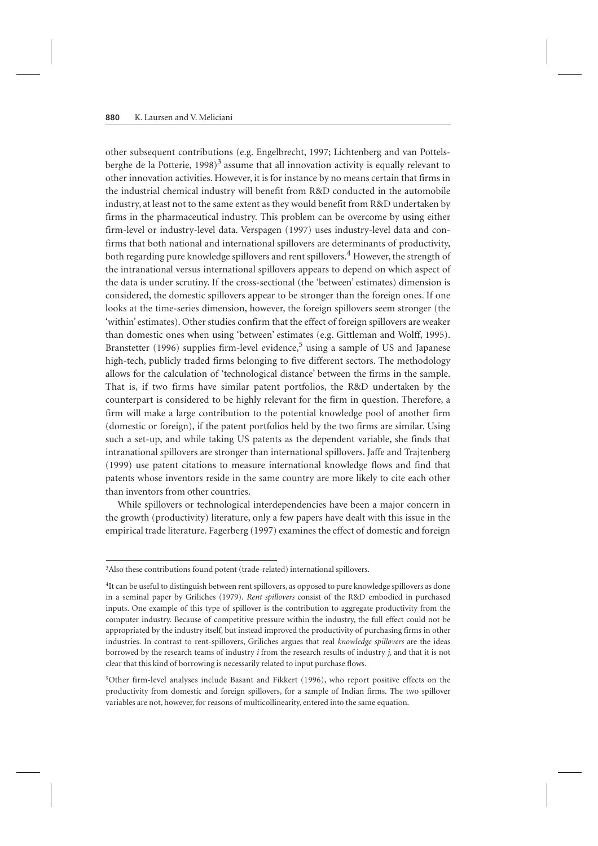other subsequent contributions (e.g. Engelbrecht, 1997; Lichtenberg and van Pottelsberghe de la Potterie, 1998)<sup>3</sup> assume that all innovation activity is equally relevant to other innovation activities. However, it is for instance by no means certain that firms in the industrial chemical industry will benefit from R&D conducted in the automobile industry, at least not to the same extent as they would benefit from R&D undertaken by firms in the pharmaceutical industry. This problem can be overcome by using either firm-level or industry-level data. Verspagen (1997) uses industry-level data and confirms that both national and international spillovers are determinants of productivity, both regarding pure knowledge spillovers and rent spillovers.<sup>4</sup> However, the strength of the intranational versus international spillovers appears to depend on which aspect of the data is under scrutiny. If the cross-sectional (the 'between' estimates) dimension is considered, the domestic spillovers appear to be stronger than the foreign ones. If one looks at the time-series dimension, however, the foreign spillovers seem stronger (the 'within' estimates). Other studies confirm that the effect of foreign spillovers are weaker than domestic ones when using 'between' estimates (e.g. Gittleman and Wolff, 1995). Branstetter (1996) supplies firm-level evidence,<sup>5</sup> using a sample of US and Japanese high-tech, publicly traded firms belonging to five different sectors. The methodology allows for the calculation of 'technological distance' between the firms in the sample. That is, if two firms have similar patent portfolios, the R&D undertaken by the counterpart is considered to be highly relevant for the firm in question. Therefore, a firm will make a large contribution to the potential knowledge pool of another firm (domestic or foreign), if the patent portfolios held by the two firms are similar. Using such a set-up, and while taking US patents as the dependent variable, she finds that intranational spillovers are stronger than international spillovers. Jaffe and Trajtenberg (1999) use patent citations to measure international knowledge flows and find that patents whose inventors reside in the same country are more likely to cite each other than inventors from other countries.

While spillovers or technological interdependencies have been a major concern in the growth (productivity) literature, only a few papers have dealt with this issue in the empirical trade literature. Fagerberg (1997) examines the effect of domestic and foreign

<sup>&</sup>lt;sup>3</sup>Also these contributions found potent (trade-related) international spillovers.

<sup>4</sup>It can be useful to distinguish between rent spillovers, as opposed to pure knowledge spillovers as done in a seminal paper by Griliches (1979). *Rent spillovers* consist of the R&D embodied in purchased inputs. One example of this type of spillover is the contribution to aggregate productivity from the computer industry. Because of competitive pressure within the industry, the full effect could not be appropriated by the industry itself, but instead improved the productivity of purchasing firms in other industries. In contrast to rent-spillovers, Griliches argues that real *knowledge spillovers* are the ideas borrowed by the research teams of industry *i* from the research results of industry *j*, and that it is not clear that this kind of borrowing is necessarily related to input purchase flows.

<sup>5</sup>Other firm-level analyses include Basant and Fikkert (1996), who report positive effects on the productivity from domestic and foreign spillovers, for a sample of Indian firms. The two spillover variables are not, however, for reasons of multicollinearity, entered into the same equation.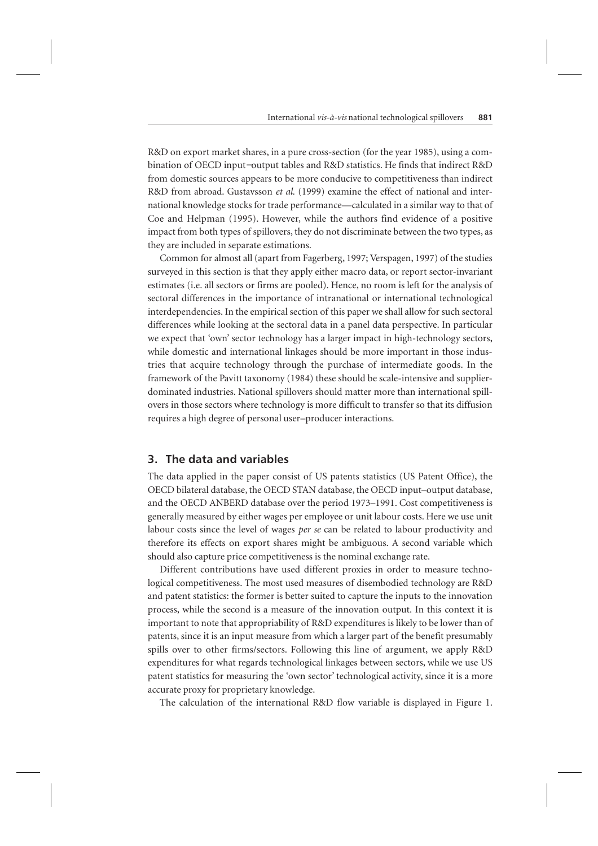R&D on export market shares, in a pure cross-section (for the year 1985), using a combination of OECD input−output tables and R&D statistics. He finds that indirect R&D from domestic sources appears to be more conducive to competitiveness than indirect R&D from abroad. Gustavsson *et al.* (1999) examine the effect of national and international knowledge stocks for trade performance—calculated in a similar way to that of Coe and Helpman (1995). However, while the authors find evidence of a positive impact from both types of spillovers, they do not discriminate between the two types, as they are included in separate estimations.

Common for almost all (apart from Fagerberg, 1997; Verspagen, 1997) of the studies surveyed in this section is that they apply either macro data, or report sector-invariant estimates (i.e. all sectors or firms are pooled). Hence, no room is left for the analysis of sectoral differences in the importance of intranational or international technological interdependencies. In the empirical section of this paper we shall allow for such sectoral differences while looking at the sectoral data in a panel data perspective. In particular we expect that 'own' sector technology has a larger impact in high-technology sectors, while domestic and international linkages should be more important in those industries that acquire technology through the purchase of intermediate goods. In the framework of the Pavitt taxonomy (1984) these should be scale-intensive and supplierdominated industries. National spillovers should matter more than international spillovers in those sectors where technology is more difficult to transfer so that its diffusion requires a high degree of personal user–producer interactions.

## **3. The data and variables**

The data applied in the paper consist of US patents statistics (US Patent Office), the OECD bilateral database, the OECD STAN database, the OECD input–output database, and the OECD ANBERD database over the period 1973–1991. Cost competitiveness is generally measured by either wages per employee or unit labour costs. Here we use unit labour costs since the level of wages *per se* can be related to labour productivity and therefore its effects on export shares might be ambiguous. A second variable which should also capture price competitiveness is the nominal exchange rate.

Different contributions have used different proxies in order to measure technological competitiveness. The most used measures of disembodied technology are R&D and patent statistics: the former is better suited to capture the inputs to the innovation process, while the second is a measure of the innovation output. In this context it is important to note that appropriability of R&D expenditures is likely to be lower than of patents, since it is an input measure from which a larger part of the benefit presumably spills over to other firms/sectors. Following this line of argument, we apply R&D expenditures for what regards technological linkages between sectors, while we use US patent statistics for measuring the 'own sector' technological activity, since it is a more accurate proxy for proprietary knowledge.

The calculation of the international R&D flow variable is displayed in Figure 1.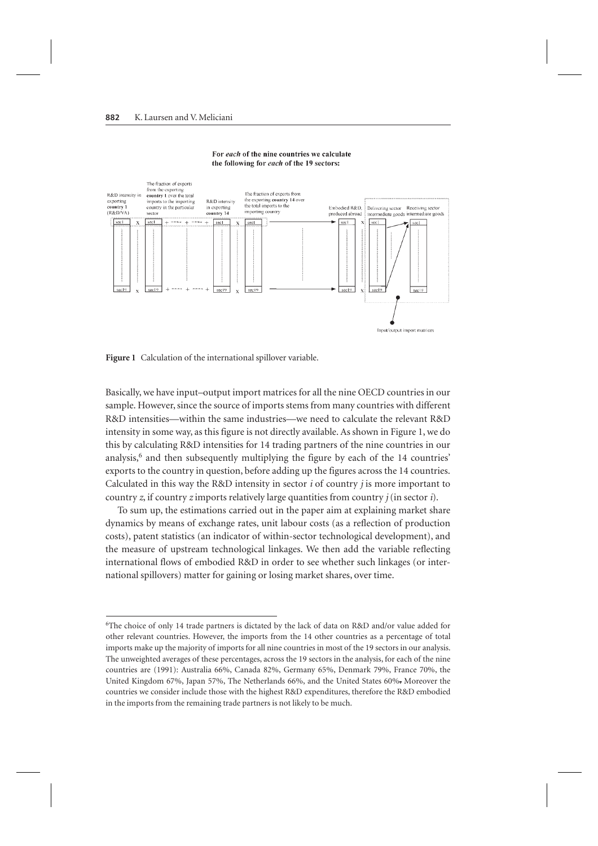

#### For each of the nine countries we calculate the following for each of the 19 sectors:

**Figure 1** Calculation of the international spillover variable.

Basically, we have input–output import matrices for all the nine OECD countries in our sample. However, since the source of imports stems from many countries with different R&D intensities—within the same industries—we need to calculate the relevant R&D intensity in some way, as this figure is not directly available. As shown in Figure 1, we do this by calculating R&D intensities for 14 trading partners of the nine countries in our analysis, $6$  and then subsequently multiplying the figure by each of the 14 countries' exports to the country in question, before adding up the figures across the 14 countries. Calculated in this way the R&D intensity in sector *i* of country *j* is more important to country *z*, if country *z* imports relatively large quantities from country *j* (in sector *i*).

To sum up, the estimations carried out in the paper aim at explaining market share dynamics by means of exchange rates, unit labour costs (as a reflection of production costs), patent statistics (an indicator of within-sector technological development), and the measure of upstream technological linkages. We then add the variable reflecting international flows of embodied R&D in order to see whether such linkages (or international spillovers) matter for gaining or losing market shares, over time.

<sup>6</sup>The choice of only 14 trade partners is dictated by the lack of data on R&D and/or value added for other relevant countries. However, the imports from the 14 other countries as a percentage of total imports make up the majority of imports for all nine countries in most of the 19 sectors in our analysis. The unweighted averages of these percentages, across the 19 sectors in the analysis, for each of the nine countries are (1991): Australia 66%, Canada 82%, Germany 65%, Denmark 79%, France 70%, the United Kingdom 67%, Japan 57%, The Netherlands 66%, and the United States 60%. Moreover the countries we consider include those with the highest R&D expenditures, therefore the R&D embodied in the imports from the remaining trade partners is not likely to be much.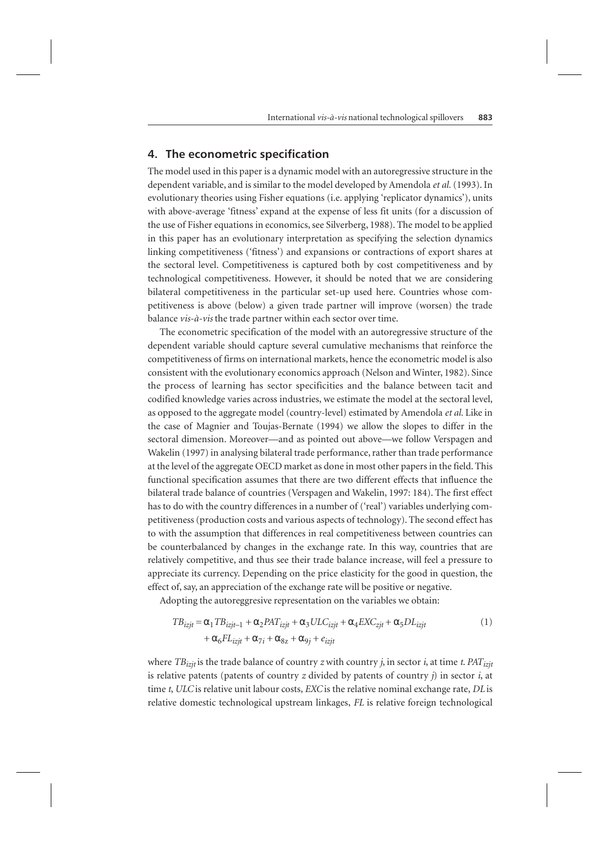# **4. The econometric specification**

The model used in this paper is a dynamic model with an autoregressive structure in the dependent variable, and is similar to the model developed by Amendola *et al.* (1993). In evolutionary theories using Fisher equations (i.e. applying 'replicator dynamics'), units with above-average 'fitness' expand at the expense of less fit units (for a discussion of the use of Fisher equations in economics, see Silverberg, 1988). The model to be applied in this paper has an evolutionary interpretation as specifying the selection dynamics linking competitiveness ('fitness') and expansions or contractions of export shares at the sectoral level. Competitiveness is captured both by cost competitiveness and by technological competitiveness. However, it should be noted that we are considering bilateral competitiveness in the particular set-up used here. Countries whose competitiveness is above (below) a given trade partner will improve (worsen) the trade balance *vis-à-vis* the trade partner within each sector over time.

The econometric specification of the model with an autoregressive structure of the dependent variable should capture several cumulative mechanisms that reinforce the competitiveness of firms on international markets, hence the econometric model is also consistent with the evolutionary economics approach (Nelson and Winter, 1982). Since the process of learning has sector specificities and the balance between tacit and codified knowledge varies across industries, we estimate the model at the sectoral level, as opposed to the aggregate model (country-level) estimated by Amendola *et al.* Like in the case of Magnier and Toujas-Bernate (1994) we allow the slopes to differ in the sectoral dimension. Moreover—and as pointed out above—we follow Verspagen and Wakelin (1997) in analysing bilateral trade performance, rather than trade performance at the level of the aggregate OECD market as done in most other papers in the field. This functional specification assumes that there are two different effects that influence the bilateral trade balance of countries (Verspagen and Wakelin, 1997: 184). The first effect has to do with the country differences in a number of ('real') variables underlying competitiveness (production costs and various aspects of technology). The second effect has to with the assumption that differences in real competitiveness between countries can be counterbalanced by changes in the exchange rate. In this way, countries that are relatively competitive, and thus see their trade balance increase, will feel a pressure to appreciate its currency. Depending on the price elasticity for the good in question, the effect of, say, an appreciation of the exchange rate will be positive or negative.

Adopting the autoreggresive representation on the variables we obtain:

$$
TB_{izjt} = \alpha_1 TB_{izjt-1} + \alpha_2 PAT_{izjt} + \alpha_3 ULC_{izjt} + \alpha_4 EXC_{zjt} + \alpha_5 DL_{izjt}
$$
  
+  $\alpha_6 FL_{izjt} + \alpha_{7i} + \alpha_{8z} + \alpha_{9j} + e_{izjt}$  (1)

where *TBizjt* is the trade balance of country *z* with country *j*, in sector *i*, at time *t*. *PATizjt* is relative patents (patents of country *z* divided by patents of country *j*) in sector *i*, at time *t*, *ULC* is relative unit labour costs, *EXC* is the relative nominal exchange rate, *DL* is relative domestic technological upstream linkages, *FL* is relative foreign technological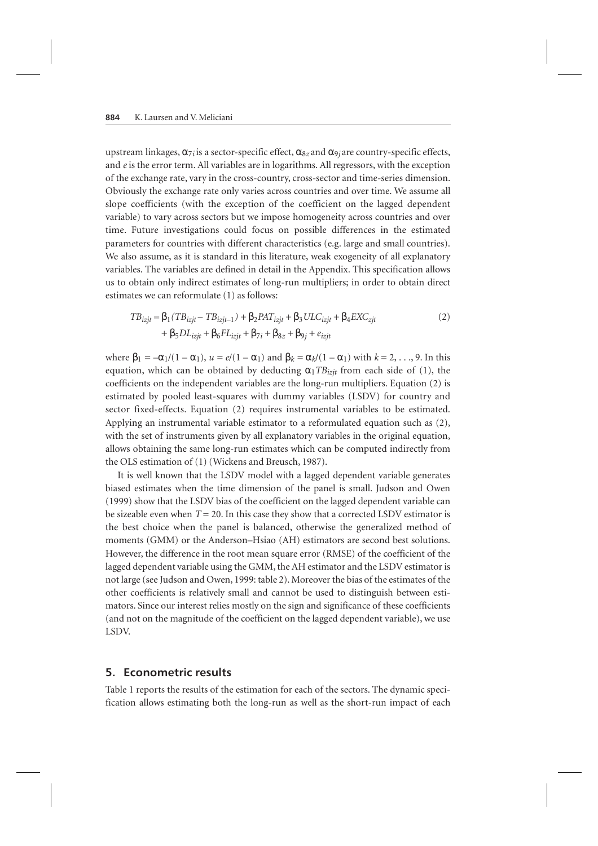upstream linkages,  $\alpha_{7i}$  is a sector-specific effect,  $\alpha_{8z}$  and  $\alpha_{9i}$  are country-specific effects, and *e* is the error term. All variables are in logarithms. All regressors, with the exception of the exchange rate, vary in the cross-country, cross-sector and time-series dimension. Obviously the exchange rate only varies across countries and over time. We assume all slope coefficients (with the exception of the coefficient on the lagged dependent variable) to vary across sectors but we impose homogeneity across countries and over time. Future investigations could focus on possible differences in the estimated parameters for countries with different characteristics (e.g. large and small countries). We also assume, as it is standard in this literature, weak exogeneity of all explanatory variables. The variables are defined in detail in the Appendix. This specification allows us to obtain only indirect estimates of long-run multipliers; in order to obtain direct estimates we can reformulate (1) as follows:

$$
TB_{izjt} = \beta_1 (TB_{izjt} - TB_{izjt-1}) + \beta_2 PAT_{izjt} + \beta_3 ULC_{izjt} + \beta_4 EXC_{zjt} + \beta_5 DL_{izjt} + \beta_6 FL_{izjt} + \beta_7_i + \beta_{8z} + \beta_{9j} + e_{izjt}
$$
 (2)

where  $\beta_1 = -\alpha_1/(1 - \alpha_1)$ ,  $u = e/(1 - \alpha_1)$  and  $\beta_k = \alpha_k/(1 - \alpha_1)$  with  $k = 2, \ldots, 9$ . In this equation, which can be obtained by deducting  $\alpha_1 T B_{izit}$  from each side of (1), the coefficients on the independent variables are the long-run multipliers. Equation (2) is estimated by pooled least-squares with dummy variables (LSDV) for country and sector fixed-effects. Equation (2) requires instrumental variables to be estimated. Applying an instrumental variable estimator to a reformulated equation such as (2), with the set of instruments given by all explanatory variables in the original equation, allows obtaining the same long-run estimates which can be computed indirectly from the OLS estimation of (1) (Wickens and Breusch, 1987).

It is well known that the LSDV model with a lagged dependent variable generates biased estimates when the time dimension of the panel is small. Judson and Owen (1999) show that the LSDV bias of the coefficient on the lagged dependent variable can be sizeable even when  $T = 20$ . In this case they show that a corrected LSDV estimator is the best choice when the panel is balanced, otherwise the generalized method of moments (GMM) or the Anderson–Hsiao (AH) estimators are second best solutions. However, the difference in the root mean square error (RMSE) of the coefficient of the lagged dependent variable using the GMM, the AH estimator and the LSDV estimator is not large (see Judson and Owen, 1999: table 2). Moreover the bias of the estimates of the other coefficients is relatively small and cannot be used to distinguish between estimators. Since our interest relies mostly on the sign and significance of these coefficients (and not on the magnitude of the coefficient on the lagged dependent variable), we use LSDV.

## **5. Econometric results**

Table 1 reports the results of the estimation for each of the sectors. The dynamic specification allows estimating both the long-run as well as the short-run impact of each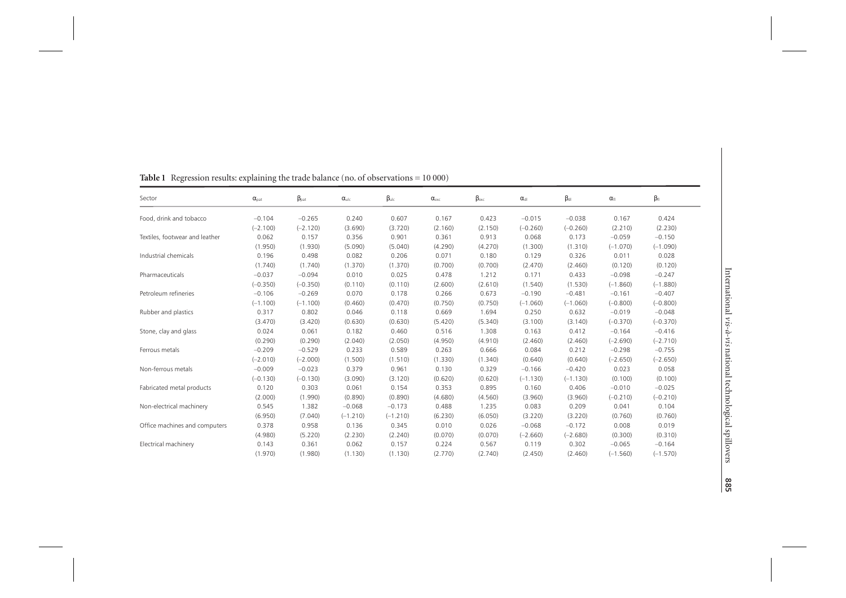| $\sim$                         | $\overline{\phantom{0}}$ |                      |                       |               |                       |                      |                      |                     |                   |                  |
|--------------------------------|--------------------------|----------------------|-----------------------|---------------|-----------------------|----------------------|----------------------|---------------------|-------------------|------------------|
| Sector                         | $\alpha_{\text{pat}}$    | $\beta_{\text{pat}}$ | $\alpha_{\text{ulc}}$ | $\beta_{ulc}$ | $\alpha_{\text{exc}}$ | $\beta_{\text{exc}}$ | $\alpha_{\text{dl}}$ | $\beta_{\text{dl}}$ | $\alpha_{\rm fl}$ | $\beta_{\rm fl}$ |
| Food, drink and tobacco        | $-0.104$                 | $-0.265$             | 0.240                 | 0.607         | 0.167                 | 0.423                | $-0.015$             | $-0.038$            | 0.167             | 0.424            |
|                                | $(-2.100)$               | $(-2.120)$           | (3.690)               | (3.720)       | (2.160)               | (2.150)              | $(-0.260)$           | $(-0.260)$          | (2.210)           | (2.230)          |
| Textiles, footwear and leather | 0.062                    | 0.157                | 0.356                 | 0.901         | 0.361                 | 0.913                | 0.068                | 0.173               | $-0.059$          | $-0.150$         |
|                                | (1.950)                  | (1.930)              | (5.090)               | (5.040)       | (4.290)               | (4.270)              | (1.300)              | (1.310)             | $(-1.070)$        | $(-1.090)$       |
| Industrial chemicals           | 0.196                    | 0.498                | 0.082                 | 0.206         | 0.071                 | 0.180                | 0.129                | 0.326               | 0.011             | 0.028            |
|                                | (1.740)                  | (1.740)              | (1.370)               | (1.370)       | (0.700)               | (0.700)              | (2.470)              | (2.460)             | (0.120)           | (0.120)          |
| Pharmaceuticals                | $-0.037$                 | $-0.094$             | 0.010                 | 0.025         | 0.478                 | 1.212                | 0.171                | 0.433               | $-0.098$          | $-0.247$         |
|                                | $(-0.350)$               | $(-0.350)$           | (0.110)               | (0.110)       | (2.600)               | (2.610)              | (1.540)              | (1.530)             | $(-1.860)$        | $(-1.880)$       |
| Petroleum refineries           | $-0.106$                 | $-0.269$             | 0.070                 | 0.178         | 0.266                 | 0.673                | $-0.190$             | $-0.481$            | $-0.161$          | $-0.407$         |
|                                | $(-1.100)$               | $(-1.100)$           | (0.460)               | (0.470)       | (0.750)               | (0.750)              | $(-1.060)$           | $(-1.060)$          | $(-0.800)$        | $(-0.800)$       |
| Rubber and plastics            | 0.317                    | 0.802                | 0.046                 | 0.118         | 0.669                 | 1.694                | 0.250                | 0.632               | $-0.019$          | $-0.048$         |
|                                | (3.470)                  | (3.420)              | (0.630)               | (0.630)       | (5.420)               | (5.340)              | (3.100)              | (3.140)             | $(-0.370)$        | $(-0.370)$       |
| Stone, clay and glass          | 0.024                    | 0.061                | 0.182                 | 0.460         | 0.516                 | 1.308                | 0.163                | 0.412               | $-0.164$          | $-0.416$         |
|                                | (0.290)                  | (0.290)              | (2.040)               | (2.050)       | (4.950)               | (4.910)              | (2.460)              | (2.460)             | $(-2.690)$        | $(-2.710)$       |
| Ferrous metals                 | $-0.209$                 | $-0.529$             | 0.233                 | 0.589         | 0.263                 | 0.666                | 0.084                | 0.212               | $-0.298$          | $-0.755$         |
|                                | $(-2.010)$               | $(-2.000)$           | (1.500)               | (1.510)       | (1.330)               | (1.340)              | (0.640)              | (0.640)             | $(-2.650)$        | $(-2.650)$       |
| Non-ferrous metals             | $-0.009$                 | $-0.023$             | 0.379                 | 0.961         | 0.130                 | 0.329                | $-0.166$             | $-0.420$            | 0.023             | 0.058            |
|                                | $(-0.130)$               | $(-0.130)$           | (3.090)               | (3.120)       | (0.620)               | (0.620)              | $(-1.130)$           | $(-1.130)$          | (0.100)           | (0.100)          |
| Fabricated metal products      | 0.120                    | 0.303                | 0.061                 | 0.154         | 0.353                 | 0.895                | 0.160                | 0.406               | $-0.010$          | $-0.025$         |
|                                | (2.000)                  | (1.990)              | (0.890)               | (0.890)       | (4.680)               | (4.560)              | (3.960)              | (3.960)             | $(-0.210)$        | $(-0.210)$       |
| Non-electrical machinery       | 0.545                    | 1.382                | $-0.068$              | $-0.173$      | 0.488                 | 1.235                | 0.083                | 0.209               | 0.041             | 0.104            |
|                                | (6.950)                  | (7.040)              | $(-1.210)$            | $(-1.210)$    | (6.230)               | (6.050)              | (3.220)              | (3.220)             | (0.760)           | (0.760)          |
| Office machines and computers  | 0.378                    | 0.958                | 0.136                 | 0.345         | 0.010                 | 0.026                | $-0.068$             | $-0.172$            | 0.008             | 0.019            |
|                                | (4.980)                  | (5.220)              | (2.230)               | (2.240)       | (0.070)               | (0.070)              | $(-2.660)$           | $(-2.680)$          | (0.300)           | (0.310)          |
| Electrical machinery           | 0.143                    | 0.361                | 0.062                 | 0.157         | 0.224                 | 0.567                | 0.119                | 0.302               | $-0.065$          | $-0.164$         |
|                                | (1.970)                  | (1.980)              | (1.130)               | (1.130)       | (2.770)               | (2.740)              | (2.450)              | (2.460)             | $(-1.560)$        | $(-1.570)$       |

**Table 1** Regression results: explaining the trade balance (no. of observations <sup>=</sup> <sup>10</sup> 000)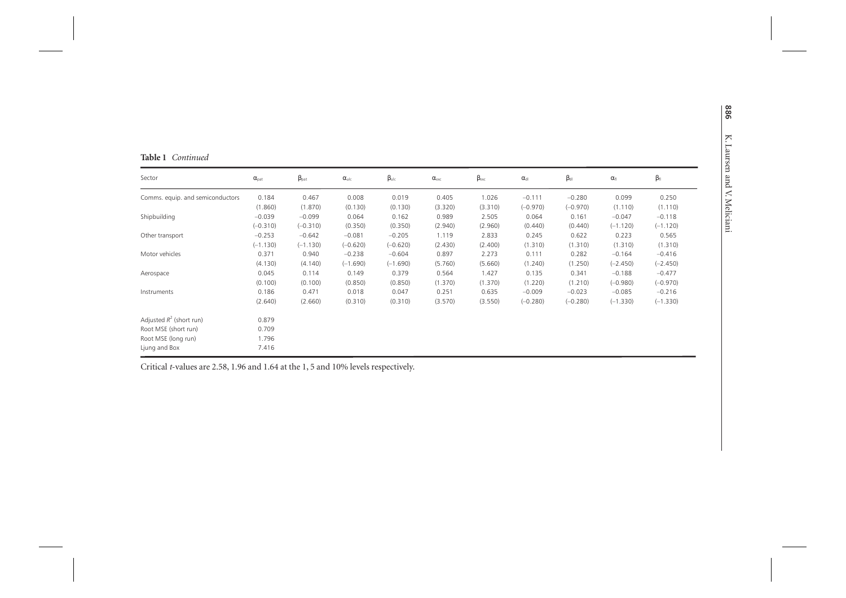| Sector                           | $\alpha_{\text{pat}}$ | $\beta_{\text{pat}}$ | $\alpha$ ulc | $\beta$ ulc | $\alpha_{\text{exc}}$ | $\beta_{exc}$ | $\alpha$ <sub>dl</sub> | $\beta$ <sub>dl</sub> | $\alpha_{\rm fl}$ | $\beta_{\rm fl}$ |
|----------------------------------|-----------------------|----------------------|--------------|-------------|-----------------------|---------------|------------------------|-----------------------|-------------------|------------------|
| Comms. equip. and semiconductors | 0.184                 | 0.467                | 0.008        | 0.019       | 0.405                 | 1.026         | $-0.111$               | $-0.280$              | 0.099             | 0.250            |
|                                  | (1.860)               | (1.870)              | (0.130)      | (0.130)     | (3.320)               | (3.310)       | $(-0.970)$             | $(-0.970)$            | (1.110)           | (1.110)          |
| Shipbuilding                     | $-0.039$              | $-0.099$             | 0.064        | 0.162       | 0.989                 | 2.505         | 0.064                  | 0.161                 | $-0.047$          | $-0.118$         |
|                                  | $(-0.310)$            | $(-0.310)$           | (0.350)      | (0.350)     | (2.940)               | (2.960)       | (0.440)                | (0.440)               | $(-1.120)$        | $(-1.120)$       |
| Other transport                  | $-0.253$              | $-0.642$             | $-0.081$     | $-0.205$    | 1.119                 | 2.833         | 0.245                  | 0.622                 | 0.223             | 0.565            |
|                                  | $(-1.130)$            | $(-1.130)$           | $(-0.620)$   | $(-0.620)$  | (2.430)               | (2.400)       | (1.310)                | (1.310)               | (1.310)           | (1.310)          |
| Motor vehicles                   | 0.371                 | 0.940                | $-0.238$     | $-0.604$    | 0.897                 | 2.273         | 0.111                  | 0.282                 | $-0.164$          | $-0.416$         |
|                                  | (4.130)               | (4.140)              | $(-1.690)$   | $(-1.690)$  | (5.760)               | (5.660)       | (1.240)                | (1.250)               | $(-2.450)$        | $(-2.450)$       |
| Aerospace                        | 0.045                 | 0.114                | 0.149        | 0.379       | 0.564                 | 1.427         | 0.135                  | 0.341                 | $-0.188$          | $-0.477$         |
|                                  | (0.100)               | (0.100)              | (0.850)      | (0.850)     | (1.370)               | (1.370)       | (1.220)                | (1.210)               | $(-0.980)$        | $(-0.970)$       |
| Instruments                      | 0.186                 | 0.471                | 0.018        | 0.047       | 0.251                 | 0.635         | $-0.009$               | $-0.023$              | $-0.085$          | $-0.216$         |
|                                  | (2.640)               | (2.660)              | (0.310)      | (0.310)     | (3.570)               | (3.550)       | $(-0.280)$             | $(-0.280)$            | $(-1.330)$        | $(-1.330)$       |
| Adjusted $R^2$ (short run)       | 0.879                 |                      |              |             |                       |               |                        |                       |                   |                  |
| Root MSE (short run)             | 0.709                 |                      |              |             |                       |               |                        |                       |                   |                  |
| Root MSE (long run)              | 1.796                 |                      |              |             |                       |               |                        |                       |                   |                  |
| Ljung and Box                    | 7.416                 |                      |              |             |                       |               |                        |                       |                   |                  |

Critical *<sup>t</sup>*-values are 2.58, 1.96 and 1.64 at the 1, <sup>5</sup> and 10% levels respectively.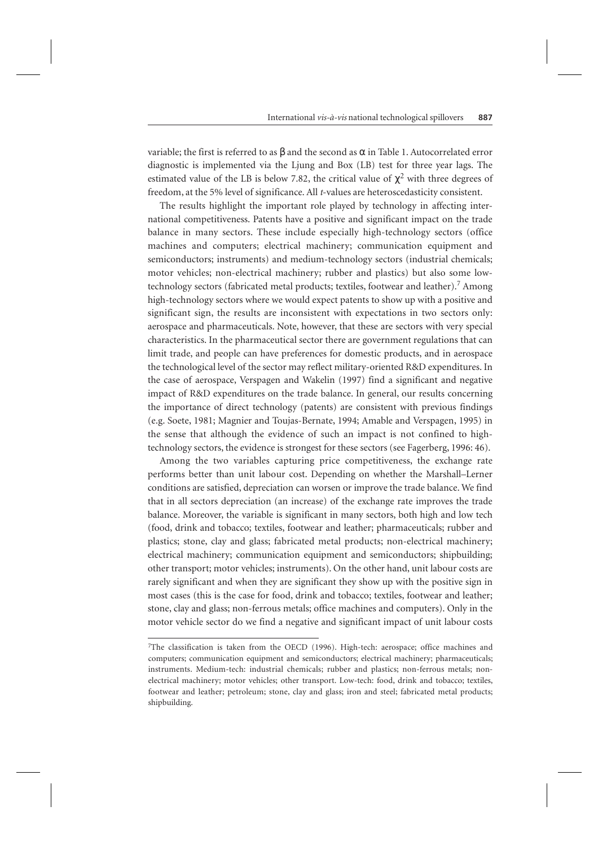variable; the first is referred to as  $\beta$  and the second as  $\alpha$  in Table 1. Autocorrelated error diagnostic is implemented via the Ljung and Box (LB) test for three year lags. The estimated value of the LB is below 7.82, the critical value of  $\gamma^2$  with three degrees of freedom, at the 5% level of significance. All *t*-values are heteroscedasticity consistent.

The results highlight the important role played by technology in affecting international competitiveness. Patents have a positive and significant impact on the trade balance in many sectors. These include especially high-technology sectors (office machines and computers; electrical machinery; communication equipment and semiconductors; instruments) and medium-technology sectors (industrial chemicals; motor vehicles; non-electrical machinery; rubber and plastics) but also some lowtechnology sectors (fabricated metal products; textiles, footwear and leather).<sup>7</sup> Among high-technology sectors where we would expect patents to show up with a positive and significant sign, the results are inconsistent with expectations in two sectors only: aerospace and pharmaceuticals. Note, however, that these are sectors with very special characteristics. In the pharmaceutical sector there are government regulations that can limit trade, and people can have preferences for domestic products, and in aerospace the technological level of the sector may reflect military-oriented R&D expenditures. In the case of aerospace, Verspagen and Wakelin (1997) find a significant and negative impact of R&D expenditures on the trade balance. In general, our results concerning the importance of direct technology (patents) are consistent with previous findings (e.g. Soete, 1981; Magnier and Toujas-Bernate, 1994; Amable and Verspagen, 1995) in the sense that although the evidence of such an impact is not confined to hightechnology sectors, the evidence is strongest for these sectors (see Fagerberg, 1996: 46).

Among the two variables capturing price competitiveness, the exchange rate performs better than unit labour cost. Depending on whether the Marshall–Lerner conditions are satisfied, depreciation can worsen or improve the trade balance. We find that in all sectors depreciation (an increase) of the exchange rate improves the trade balance. Moreover, the variable is significant in many sectors, both high and low tech (food, drink and tobacco; textiles, footwear and leather; pharmaceuticals; rubber and plastics; stone, clay and glass; fabricated metal products; non-electrical machinery; electrical machinery; communication equipment and semiconductors; shipbuilding; other transport; motor vehicles; instruments). On the other hand, unit labour costs are rarely significant and when they are significant they show up with the positive sign in most cases (this is the case for food, drink and tobacco; textiles, footwear and leather; stone, clay and glass; non-ferrous metals; office machines and computers). Only in the motor vehicle sector do we find a negative and significant impact of unit labour costs

<sup>7</sup>The classification is taken from the OECD (1996). High-tech: aerospace; office machines and computers; communication equipment and semiconductors; electrical machinery; pharmaceuticals; instruments. Medium-tech: industrial chemicals; rubber and plastics; non-ferrous metals; nonelectrical machinery; motor vehicles; other transport. Low-tech: food, drink and tobacco; textiles, footwear and leather; petroleum; stone, clay and glass; iron and steel; fabricated metal products; shipbuilding.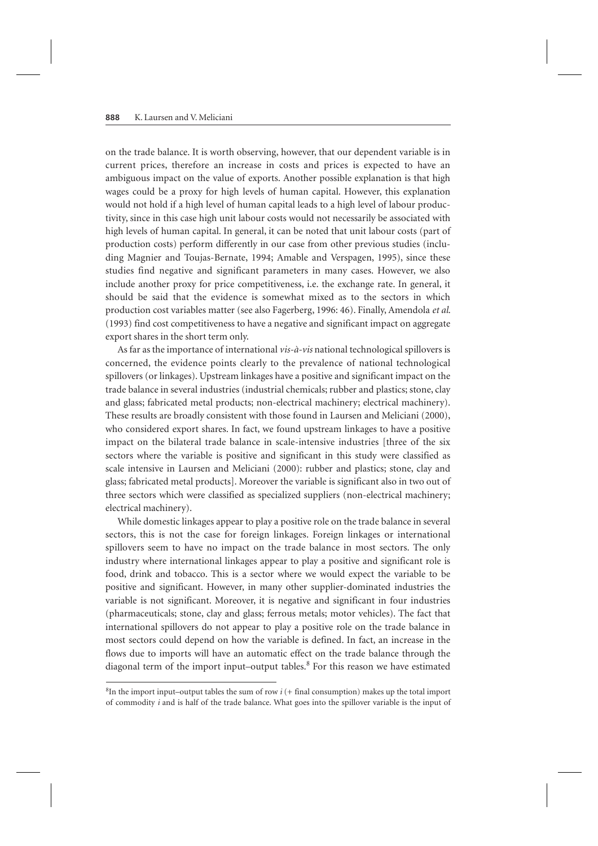on the trade balance. It is worth observing, however, that our dependent variable is in current prices, therefore an increase in costs and prices is expected to have an ambiguous impact on the value of exports. Another possible explanation is that high wages could be a proxy for high levels of human capital. However, this explanation would not hold if a high level of human capital leads to a high level of labour productivity, since in this case high unit labour costs would not necessarily be associated with high levels of human capital. In general, it can be noted that unit labour costs (part of production costs) perform differently in our case from other previous studies (including Magnier and Toujas-Bernate, 1994; Amable and Verspagen, 1995), since these studies find negative and significant parameters in many cases. However, we also include another proxy for price competitiveness, i.e. the exchange rate. In general, it should be said that the evidence is somewhat mixed as to the sectors in which production cost variables matter (see also Fagerberg, 1996: 46). Finally, Amendola *et al*. (1993) find cost competitiveness to have a negative and significant impact on aggregate export shares in the short term only.

As far as the importance of international *vis-à-vis* national technological spillovers is concerned, the evidence points clearly to the prevalence of national technological spillovers (or linkages). Upstream linkages have a positive and significant impact on the trade balance in several industries (industrial chemicals; rubber and plastics; stone, clay and glass; fabricated metal products; non-electrical machinery; electrical machinery). These results are broadly consistent with those found in Laursen and Meliciani (2000), who considered export shares. In fact, we found upstream linkages to have a positive impact on the bilateral trade balance in scale-intensive industries [three of the six sectors where the variable is positive and significant in this study were classified as scale intensive in Laursen and Meliciani (2000): rubber and plastics; stone, clay and glass; fabricated metal products]. Moreover the variable is significant also in two out of three sectors which were classified as specialized suppliers (non-electrical machinery; electrical machinery).

While domestic linkages appear to play a positive role on the trade balance in several sectors, this is not the case for foreign linkages. Foreign linkages or international spillovers seem to have no impact on the trade balance in most sectors. The only industry where international linkages appear to play a positive and significant role is food, drink and tobacco. This is a sector where we would expect the variable to be positive and significant. However, in many other supplier-dominated industries the variable is not significant. Moreover, it is negative and significant in four industries (pharmaceuticals; stone, clay and glass; ferrous metals; motor vehicles). The fact that international spillovers do not appear to play a positive role on the trade balance in most sectors could depend on how the variable is defined. In fact, an increase in the flows due to imports will have an automatic effect on the trade balance through the diagonal term of the import input–output tables. $8$  For this reason we have estimated

<sup>&</sup>lt;sup>8</sup>In the import input–output tables the sum of row  $i$  (+ final consumption) makes up the total import of commodity *i* and is half of the trade balance. What goes into the spillover variable is the input of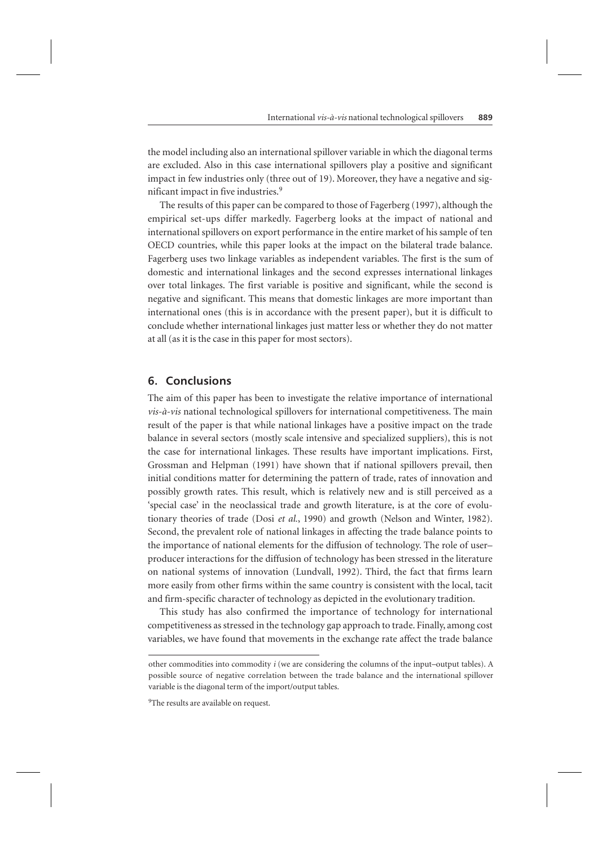the model including also an international spillover variable in which the diagonal terms are excluded. Also in this case international spillovers play a positive and significant impact in few industries only (three out of 19). Moreover, they have a negative and significant impact in five industries.<sup>9</sup>

The results of this paper can be compared to those of Fagerberg (1997), although the empirical set-ups differ markedly. Fagerberg looks at the impact of national and international spillovers on export performance in the entire market of his sample of ten OECD countries, while this paper looks at the impact on the bilateral trade balance. Fagerberg uses two linkage variables as independent variables. The first is the sum of domestic and international linkages and the second expresses international linkages over total linkages. The first variable is positive and significant, while the second is negative and significant. This means that domestic linkages are more important than international ones (this is in accordance with the present paper), but it is difficult to conclude whether international linkages just matter less or whether they do not matter at all (as it is the case in this paper for most sectors).

# **6. Conclusions**

The aim of this paper has been to investigate the relative importance of international *vis-à-vis* national technological spillovers for international competitiveness. The main result of the paper is that while national linkages have a positive impact on the trade balance in several sectors (mostly scale intensive and specialized suppliers), this is not the case for international linkages. These results have important implications. First, Grossman and Helpman (1991) have shown that if national spillovers prevail, then initial conditions matter for determining the pattern of trade, rates of innovation and possibly growth rates. This result, which is relatively new and is still perceived as a 'special case' in the neoclassical trade and growth literature, is at the core of evolutionary theories of trade (Dosi *et al.*, 1990) and growth (Nelson and Winter, 1982). Second, the prevalent role of national linkages in affecting the trade balance points to the importance of national elements for the diffusion of technology. The role of user– producer interactions for the diffusion of technology has been stressed in the literature on national systems of innovation (Lundvall, 1992). Third, the fact that firms learn more easily from other firms within the same country is consistent with the local, tacit and firm-specific character of technology as depicted in the evolutionary tradition.

This study has also confirmed the importance of technology for international competitiveness as stressed in the technology gap approach to trade. Finally, among cost variables, we have found that movements in the exchange rate affect the trade balance

other commodities into commodity *i* (we are considering the columns of the input–output tables). A possible source of negative correlation between the trade balance and the international spillover variable is the diagonal term of the import/output tables.

<sup>&</sup>lt;sup>9</sup>The results are available on request.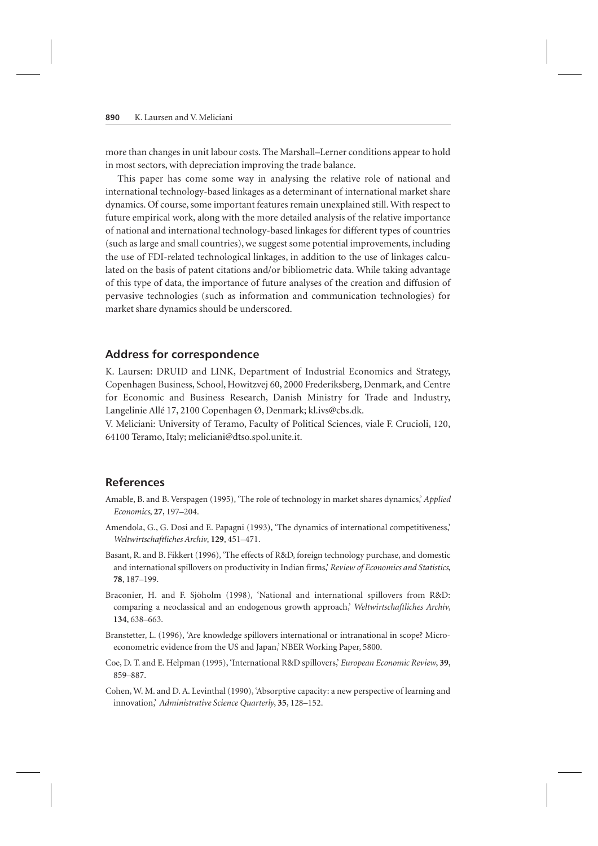more than changes in unit labour costs. The Marshall–Lerner conditions appear to hold in most sectors, with depreciation improving the trade balance.

This paper has come some way in analysing the relative role of national and international technology-based linkages as a determinant of international market share dynamics. Of course, some important features remain unexplained still. With respect to future empirical work, along with the more detailed analysis of the relative importance of national and international technology-based linkages for different types of countries (such as large and small countries), we suggest some potential improvements, including the use of FDI-related technological linkages, in addition to the use of linkages calculated on the basis of patent citations and/or bibliometric data. While taking advantage of this type of data, the importance of future analyses of the creation and diffusion of pervasive technologies (such as information and communication technologies) for market share dynamics should be underscored.

## **Address for correspondence**

K. Laursen: DRUID and LINK, Department of Industrial Economics and Strategy, Copenhagen Business, School, Howitzvej 60, 2000 Frederiksberg, Denmark, and Centre for Economic and Business Research, Danish Ministry for Trade and Industry, Langelinie Allé 17, 2100 Copenhagen Ø, Denmark; kl.ivs@cbs.dk.

V. Meliciani: University of Teramo, Faculty of Political Sciences, viale F. Crucioli, 120, 64100 Teramo, Italy; meliciani@dtso.spol.unite.it.

# **References**

- Amable, B. and B. Verspagen (1995), 'The role of technology in market shares dynamics,' *Applied Economics*, **27**, 197–204.
- Amendola, G., G. Dosi and E. Papagni (1993), 'The dynamics of international competitiveness,' *Weltwirtschaftliches Archiv*, **129**, 451–471.
- Basant, R. and B. Fikkert (1996), 'The effects of R&D, foreign technology purchase, and domestic and international spillovers on productivity in Indian firms,'*Reviewof Economics and Statistics*, **78**, 187–199.
- Braconier, H. and F. Sjöholm (1998), 'National and international spillovers from R&D: comparing a neoclassical and an endogenous growth approach,' *Weltwirtschaftliches Archiv*, **134**, 638–663.
- Branstetter, L. (1996), 'Are knowledge spillovers international or intranational in scope? Microeconometric evidence from the US and Japan,' NBER Working Paper, 5800.
- Coe, D. T. and E. Helpman (1995), 'International R&D spillovers,' *European Economic Review*, **39**, 859–887.
- Cohen, W. M. and D. A. Levinthal (1990), 'Absorptive capacity: a new perspective of learning and innovation,' *Administrative Science Quarterly*, **35**, 128–152.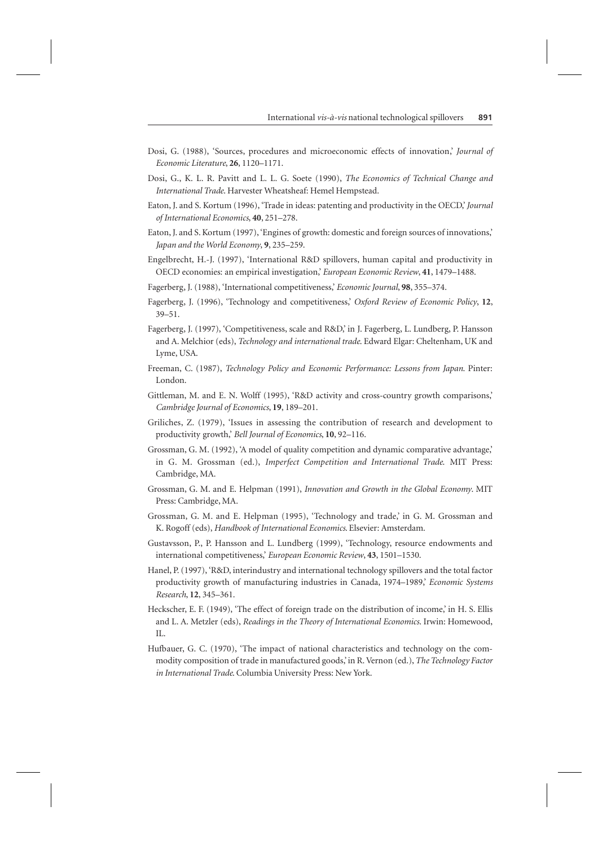- Dosi, G. (1988), 'Sources, procedures and microeconomic effects of innovation,' *Journal of Economic Literature*, **26**, 1120–1171.
- Dosi, G., K. L. R. Pavitt and L. L. G. Soete (1990), *The Economics of Technical Change and International Trade*. Harvester Wheatsheaf: Hemel Hempstead.
- Eaton, J. and S. Kortum (1996), 'Trade in ideas: patenting and productivity in the OECD,'*Journal of International Economics*, **40**, 251–278.
- Eaton, J. and S. Kortum (1997), 'Engines of growth: domestic and foreign sources of innovations,' *Japan and the World Economy*, **9**, 235–259.
- Engelbrecht, H.-J. (1997), 'International R&D spillovers, human capital and productivity in OECD economies: an empirical investigation,' *European Economic Review*, **41**, 1479–1488.
- Fagerberg, J. (1988), 'International competitiveness,' *Economic Journal*, **98**, 355–374.
- Fagerberg, J. (1996), 'Technology and competitiveness,' *Oxford Reviewof Economic Policy*, **12**, 39–51.
- Fagerberg, J. (1997), 'Competitiveness, scale and R&D,' in J. Fagerberg, L. Lundberg, P. Hansson and A. Melchior (eds), *Technology and international trade*. Edward Elgar: Cheltenham, UK and Lyme, USA.
- Freeman, C. (1987), *Technology Policy and Economic Performance: Lessons from Japan*. Pinter: London.
- Gittleman, M. and E. N. Wolff (1995), 'R&D activity and cross-country growth comparisons,' *Cambridge Journal of Economics*, **19**, 189–201.
- Griliches, Z. (1979), 'Issues in assessing the contribution of research and development to productivity growth,' *Bell Journal of Economics*, **10**, 92–116.
- Grossman, G. M. (1992), 'A model of quality competition and dynamic comparative advantage,' in G. M. Grossman (ed.), *Imperfect Competition and International Trade*. MIT Press: Cambridge, MA.
- Grossman, G. M. and E. Helpman (1991), *Innovation and Growth in the Global Economy*. MIT Press: Cambridge, MA.
- Grossman, G. M. and E. Helpman (1995), 'Technology and trade,' in G. M. Grossman and K. Rogoff (eds), *Handbook of International Economics*. Elsevier: Amsterdam.
- Gustavsson, P., P. Hansson and L. Lundberg (1999), 'Technology, resource endowments and international competitiveness,' *European Economic Review*, **43**, 1501–1530.
- Hanel, P. (1997), 'R&D, interindustry and international technology spillovers and the total factor productivity growth of manufacturing industries in Canada, 1974–1989,' *Economic Systems Research*, **12**, 345–361.
- Heckscher, E. F. (1949), 'The effect of foreign trade on the distribution of income,' in H. S. Ellis and L. A. Metzler (eds), *Readings in the Theory of International Economics*. Irwin: Homewood, IL.
- Hufbauer, G. C. (1970), 'The impact of national characteristics and technology on the commodity composition of trade in manufactured goods,' in R. Vernon (ed.), *The Technology Factor in International Trade*. Columbia University Press: New York.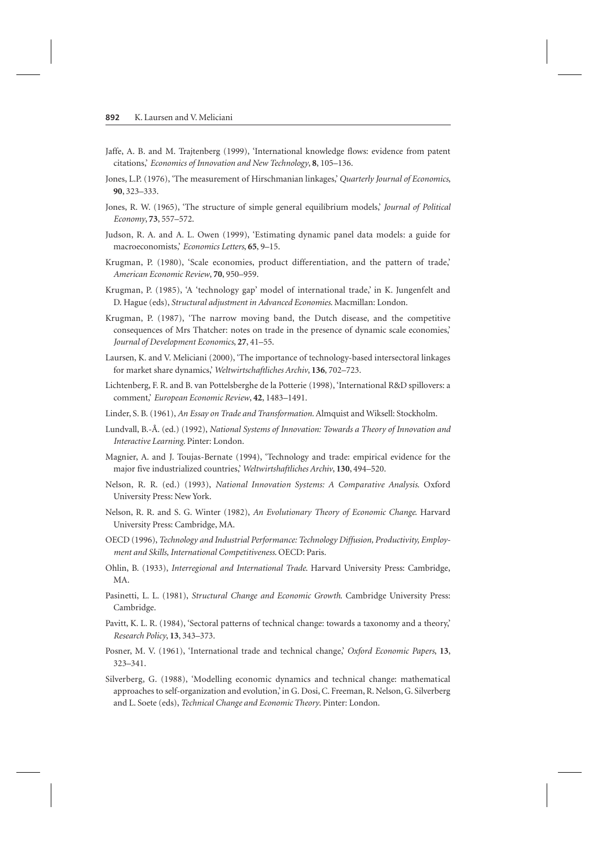- Jaffe, A. B. and M. Trajtenberg (1999), 'International knowledge flows: evidence from patent citations,' *Economics of Innovation and NewTechnology*, **8**, 105–136.
- Jones, L.P. (1976), 'The measurement of Hirschmanian linkages,' *Quarterly Journal of Economics*, **90**, 323–333.
- Jones, R. W. (1965), 'The structure of simple general equilibrium models,' *Journal of Political Economy*, **73**, 557–572.
- Judson, R. A. and A. L. Owen (1999), 'Estimating dynamic panel data models: a guide for macroeconomists,' *Economics Letters*, **65**, 9–15.
- Krugman, P. (1980), 'Scale economies, product differentiation, and the pattern of trade,' *American Economic Review*, **70**, 950–959.
- Krugman, P. (1985), 'A 'technology gap' model of international trade,' in K. Jungenfelt and D. Hague (eds), *Structural adjustment in Advanced Economies*. Macmillan: London.
- Krugman, P. (1987), 'The narrow moving band, the Dutch disease, and the competitive consequences of Mrs Thatcher: notes on trade in the presence of dynamic scale economies,' *Journal of Development Economics*, **27**, 41–55.
- Laursen, K. and V. Meliciani (2000), 'The importance of technology-based intersectoral linkages for market share dynamics,' *Weltwirtschaftliches Archiv*, **136**, 702–723.
- Lichtenberg, F. R. and B. van Pottelsberghe de la Potterie (1998), 'International R&D spillovers: a comment,' *European Economic Review*, **42**, 1483–1491.
- Linder, S. B. (1961), *An Essay on Trade and Transformation*. Almquist and Wiksell: Stockholm.
- Lundvall, B.-Å. (ed.) (1992), *National Systems of Innovation: Towards a Theory of Innovation and Interactive Learning*. Pinter: London.
- Magnier, A. and J. Toujas-Bernate (1994), 'Technology and trade: empirical evidence for the major five industrialized countries,' *Weltwirtshaftliches Archiv*, **130**, 494–520.
- Nelson, R. R. (ed.) (1993), *National Innovation Systems: A Comparative Analysis*. Oxford University Press: New York.
- Nelson, R. R. and S. G. Winter (1982), *An Evolutionary Theory of Economic Change*. Harvard University Press: Cambridge, MA.
- OECD (1996), *Technology and Industrial Performance: Technology Diffusion, Productivity, Employment and Skills, International Competitiveness*. OECD: Paris.
- Ohlin, B. (1933), *Interregional and International Trade*. Harvard University Press: Cambridge, MA.
- Pasinetti, L. L. (1981), *Structural Change and Economic Growth*. Cambridge University Press: Cambridge.
- Pavitt, K. L. R. (1984), 'Sectoral patterns of technical change: towards a taxonomy and a theory,' *Research Policy*, **13**, 343–373.
- Posner, M. V. (1961), 'International trade and technical change,' *Oxford Economic Papers*, **13**, 323–341.
- Silverberg, G. (1988), 'Modelling economic dynamics and technical change: mathematical approaches to self-organization and evolution,' in G. Dosi, C. Freeman, R. Nelson, G. Silverberg and L. Soete (eds), *Technical Change and Economic Theory*. Pinter: London.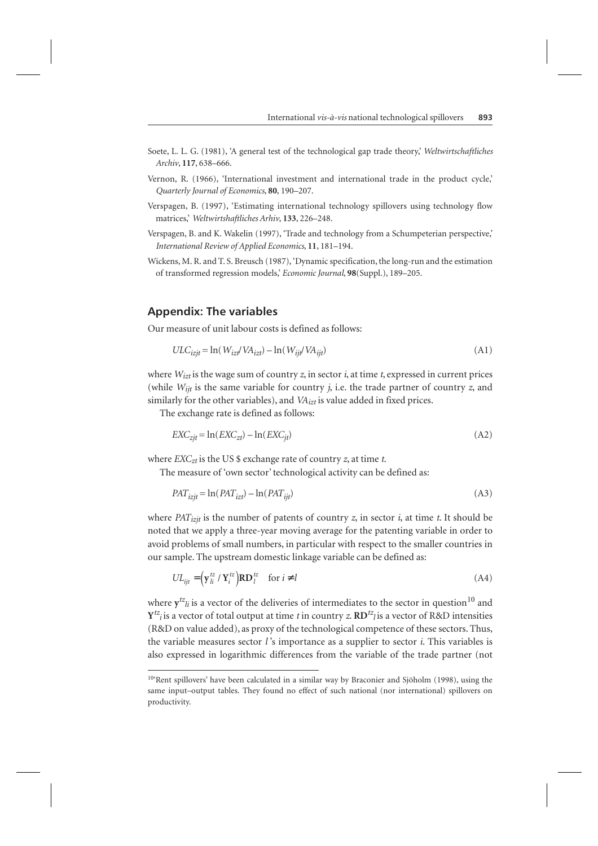- Soete, L. L. G. (1981), 'A general test of the technological gap trade theory,' *Weltwirtschaftliches Archiv*, **117**, 638–666.
- Vernon, R. (1966), 'International investment and international trade in the product cycle,' *Quarterly Journal of Economics*, **80**, 190–207.
- Verspagen, B. (1997), 'Estimating international technology spillovers using technology flow matrices,' *Weltwirtshaftliches Arhiv*, **133**, 226–248.
- Verspagen, B. and K. Wakelin (1997), 'Trade and technology from a Schumpeterian perspective,' *International Reviewof Applied Economics*, **11**, 181–194.
- Wickens, M. R. and T. S. Breusch (1987), 'Dynamic specification, the long-run and the estimation of transformed regression models,' *Economic Journal*, **98**(Suppl.), 189–205.

## **Appendix: The variables**

Our measure of unit labour costs is defined as follows:

$$
ULC_{izjt} = \ln(W_{izt}/VA_{izt}) - \ln(W_{ijt}/VA_{ijt})
$$
\n(A1)

where *Wizt* is the wage sum of country *z*, in sector *i*, at time *t*, expressed in current prices (while *Wijt* is the same variable for country *j*, i.e. the trade partner of country *z*, and similarly for the other variables), and *VAizt* is value added in fixed prices.

The exchange rate is defined as follows:

$$
EXC_{zjt} = \ln(EXC_{zt}) - \ln(EXC_{jt})
$$
\n(A2)

where *EXCzt* is the US \$ exchange rate of country *z*, at time *t*.

The measure of 'own sector' technological activity can be defined as:

$$
PAT_{izjt} = \ln(PAT_{izt}) - \ln(PAT_{ijt})
$$
\n(A3)

where *PATizjt* is the number of patents of country *z*, in sector *i*, at time *t*. It should be noted that we apply a three-year moving average for the patenting variable in order to avoid problems of small numbers, in particular with respect to the smaller countries in our sample. The upstream domestic linkage variable can be defined as:

$$
UL_{ijt} = \left(\mathbf{y}_{li}^{tz} / \mathbf{Y}_{i}^{tz}\right) \mathbf{RD}_{l}^{tz} \quad \text{for } i \neq l
$$
 (A4)

where  $y^{tz}$ <sub>*li*</sub> is a vector of the deliveries of intermediates to the sector in question<sup>10</sup> and  $Y^{tz}$  is a vector of total output at time *t* in country *z*.  $RD^{tz}$  is a vector of R&D intensities (R&D on value added), as proxy of the technological competence of these sectors. Thus, the variable measures sector *l* 's importance as a supplier to sector *i*. This variables is also expressed in logarithmic differences from the variable of the trade partner (not

<sup>&</sup>lt;sup>10</sup>'Rent spillovers' have been calculated in a similar way by Braconier and Sjöholm (1998), using the same input–output tables. They found no effect of such national (nor international) spillovers on productivity.